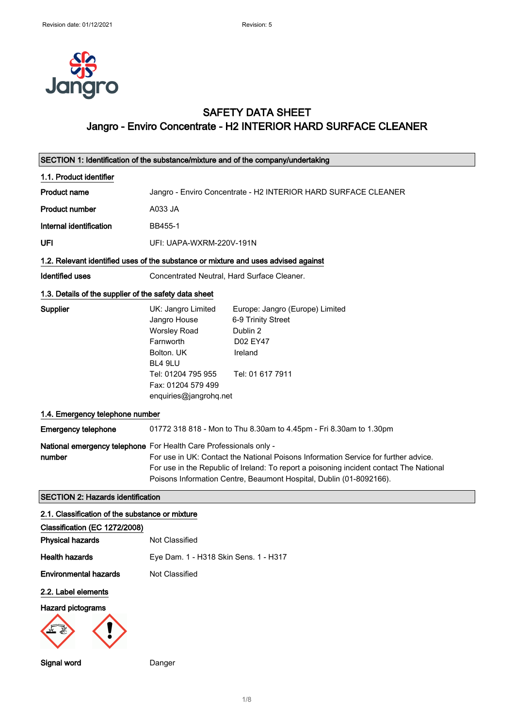

## SAFETY DATA SHEET Jangro - Enviro Concentrate - H2 INTERIOR HARD SURFACE CLEANER

| SECTION 1: Identification of the substance/mixture and of the company/undertaking  |                                                                                                                                                                                                                                                                                                                            |                                                                                                              |
|------------------------------------------------------------------------------------|----------------------------------------------------------------------------------------------------------------------------------------------------------------------------------------------------------------------------------------------------------------------------------------------------------------------------|--------------------------------------------------------------------------------------------------------------|
| 1.1. Product identifier                                                            |                                                                                                                                                                                                                                                                                                                            |                                                                                                              |
| <b>Product name</b>                                                                |                                                                                                                                                                                                                                                                                                                            | Jangro - Enviro Concentrate - H2 INTERIOR HARD SURFACE CLEANER                                               |
| <b>Product number</b>                                                              | A033 JA                                                                                                                                                                                                                                                                                                                    |                                                                                                              |
| Internal identification                                                            | BB455-1                                                                                                                                                                                                                                                                                                                    |                                                                                                              |
| UFI                                                                                | UFI: UAPA-WXRM-220V-191N                                                                                                                                                                                                                                                                                                   |                                                                                                              |
| 1.2. Relevant identified uses of the substance or mixture and uses advised against |                                                                                                                                                                                                                                                                                                                            |                                                                                                              |
| <b>Identified uses</b>                                                             | Concentrated Neutral, Hard Surface Cleaner.                                                                                                                                                                                                                                                                                |                                                                                                              |
| 1.3. Details of the supplier of the safety data sheet                              |                                                                                                                                                                                                                                                                                                                            |                                                                                                              |
| Supplier                                                                           | UK: Jangro Limited<br>Jangro House<br><b>Worsley Road</b><br>Farnworth<br>Bolton, UK<br>BL4 9LU<br>Tel: 01204 795 955<br>Fax: 01204 579 499<br>enquiries@jangrohq.net                                                                                                                                                      | Europe: Jangro (Europe) Limited<br>6-9 Trinity Street<br>Dublin 2<br>D02 EY47<br>Ireland<br>Tel: 01 617 7911 |
| 1.4. Emergency telephone number                                                    |                                                                                                                                                                                                                                                                                                                            |                                                                                                              |
| <b>Emergency telephone</b>                                                         |                                                                                                                                                                                                                                                                                                                            | 01772 318 818 - Mon to Thu 8.30am to 4.45pm - Fri 8.30am to 1.30pm                                           |
| number                                                                             | National emergency telephone For Health Care Professionals only -<br>For use in UK: Contact the National Poisons Information Service for further advice.<br>For use in the Republic of Ireland: To report a poisoning incident contact The National<br>Poisons Information Centre, Beaumont Hospital, Dublin (01-8092166). |                                                                                                              |
| <b>SECTION 2: Hazards identification</b>                                           |                                                                                                                                                                                                                                                                                                                            |                                                                                                              |
| 2.1. Classification of the substance or mixture                                    |                                                                                                                                                                                                                                                                                                                            |                                                                                                              |
| Classification (EC 1272/2008)<br><b>Physical hazards</b>                           | Not Classified                                                                                                                                                                                                                                                                                                             |                                                                                                              |
| <b>Health hazards</b>                                                              | Eye Dam. 1 - H318 Skin Sens. 1 - H317                                                                                                                                                                                                                                                                                      |                                                                                                              |
| <b>Environmental hazards</b>                                                       | Not Classified                                                                                                                                                                                                                                                                                                             |                                                                                                              |
| 2.2. Label elements<br><b>Hazard pictograms</b><br>Signal word                     | Danger                                                                                                                                                                                                                                                                                                                     |                                                                                                              |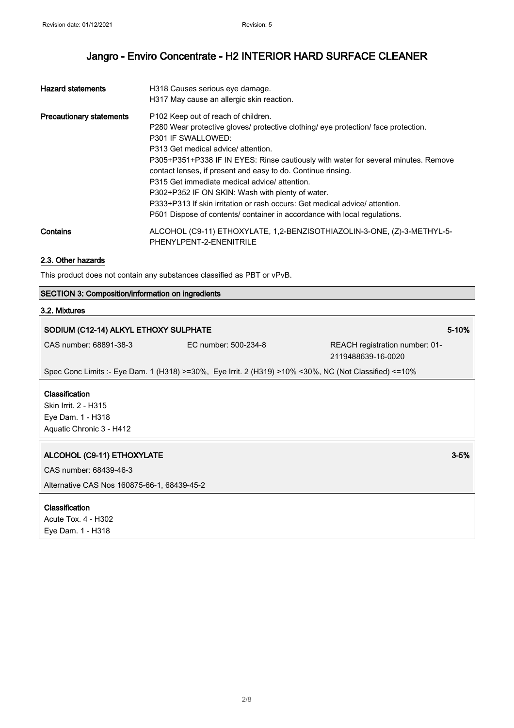| <b>Hazard statements</b>        | H318 Causes serious eye damage.                                                    |  |
|---------------------------------|------------------------------------------------------------------------------------|--|
|                                 | H317 May cause an allergic skin reaction.                                          |  |
| <b>Precautionary statements</b> | P102 Keep out of reach of children.                                                |  |
|                                 | P280 Wear protective gloves/ protective clothing/ eye protection/ face protection. |  |
|                                 | P301 IF SWALLOWED:                                                                 |  |
|                                 | P313 Get medical advice/ attention.                                                |  |
|                                 | P305+P351+P338 IF IN EYES: Rinse cautiously with water for several minutes. Remove |  |
|                                 | contact lenses, if present and easy to do. Continue rinsing.                       |  |
|                                 | P315 Get immediate medical advice/ attention.                                      |  |
|                                 | P302+P352 IF ON SKIN: Wash with plenty of water.                                   |  |
|                                 | P333+P313 If skin irritation or rash occurs: Get medical advice/attention.         |  |
|                                 | P501 Dispose of contents/ container in accordance with local regulations.          |  |
| Contains                        | ALCOHOL (C9-11) ETHOXYLATE, 1,2-BENZISOTHIAZOLIN-3-ONE, (Z)-3-METHYL-5-            |  |
|                                 | PHENYLPENT-2-ENENITRILE                                                            |  |

#### 2.3. Other hazards

This product does not contain any substances classified as PBT or vPvB.

#### SECTION 3: Composition/information on ingredients

#### 3.2. Mixtures

### SODIUM (C12-14) ALKYL ETHOXY SULPHATE 5-10%

CAS number: 68891-38-3 EC number: 500-234-8 REACH registration number: 01- 2119488639-16-0020

Spec Conc Limits :- Eye Dam. 1 (H318) >=30%, Eye Irrit. 2 (H319) >10% <30%, NC (Not Classified) <=10%

#### **Classification**

Skin Irrit. 2 - H315 Eye Dam. 1 - H318 Aquatic Chronic 3 - H412

#### ALCOHOL (C9-11) ETHOXYLATE 3-5%

CAS number: 68439-46-3

Alternative CAS Nos 160875-66-1, 68439-45-2

#### Classification

Acute Tox. 4 - H302 Eye Dam. 1 - H318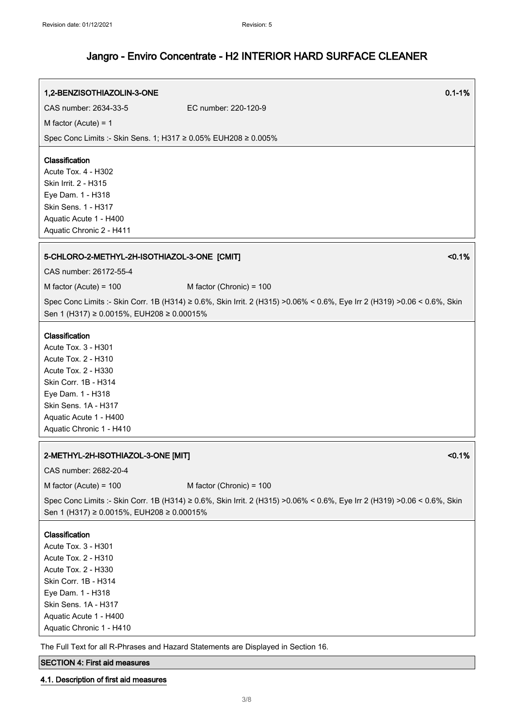# 1,2-BENZISOTHIAZOLIN-3-ONE 0.1-1% CAS number: 2634-33-5 EC number: 220-120-9 M factor (Acute) = 1 Spec Conc Limits :- Skin Sens. 1; H317 ≥ 0.05% EUH208 ≥ 0.005% Classification Acute Tox. 4 - H302 Skin Irrit. 2 - H315 Eye Dam. 1 - H318 Skin Sens. 1 - H317 Aquatic Acute 1 - H400 Aquatic Chronic 2 - H411 5-CHLORO-2-METHYL-2H-ISOTHIAZOL-3-ONE [CMIT] <0.1% CAS number: 26172-55-4  $M$  factor (Acute) = 100  $M$  factor (Chronic) = 100 Spec Conc Limits :- Skin Corr. 1B (H314) ≥ 0.6%, Skin Irrit. 2 (H315) >0.06% < 0.6%, Eye Irr 2 (H319) >0.06 < 0.6%, Skin Sen 1 (H317) ≥ 0.0015%, EUH208 ≥ 0.00015% Classification Acute Tox. 3 - H301 Acute Tox. 2 - H310 Acute Tox. 2 - H330 Skin Corr. 1B - H314 Eye Dam. 1 - H318 Skin Sens. 1A - H317 Aquatic Acute 1 - H400 Aquatic Chronic 1 - H410 2-METHYL-2H-ISOTHIAZOL-3-ONE [MIT] <0.1% CAS number: 2682-20-4  $M$  factor (Acute) = 100  $M$  factor (Chronic) = 100 Spec Conc Limits :- Skin Corr. 1B (H314) ≥ 0.6%, Skin Irrit. 2 (H315) >0.06% < 0.6%, Eye Irr 2 (H319) >0.06 < 0.6%, Skin Sen 1 (H317) ≥ 0.0015%, EUH208 ≥ 0.00015% Classification Acute Tox. 3 - H301 Acute Tox. 2 - H310 Acute Tox. 2 - H330 Skin Corr. 1B - H314 Eye Dam. 1 - H318 Skin Sens. 1A - H317 Aquatic Acute 1 - H400 Aquatic Chronic 1 - H410

The Full Text for all R-Phrases and Hazard Statements are Displayed in Section 16.

#### SECTION 4: First aid measures

#### 4.1. Description of first aid measures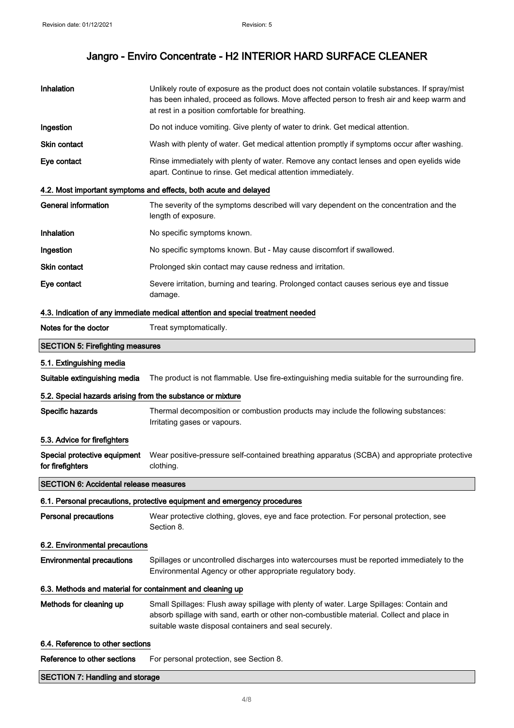| Inhalation                                                                      | Unlikely route of exposure as the product does not contain volatile substances. If spray/mist<br>has been inhaled, proceed as follows. Move affected person to fresh air and keep warm and<br>at rest in a position comfortable for breathing. |  |
|---------------------------------------------------------------------------------|------------------------------------------------------------------------------------------------------------------------------------------------------------------------------------------------------------------------------------------------|--|
| Ingestion                                                                       | Do not induce vomiting. Give plenty of water to drink. Get medical attention.                                                                                                                                                                  |  |
| Skin contact                                                                    | Wash with plenty of water. Get medical attention promptly if symptoms occur after washing.                                                                                                                                                     |  |
| Eye contact                                                                     | Rinse immediately with plenty of water. Remove any contact lenses and open eyelids wide<br>apart. Continue to rinse. Get medical attention immediately.                                                                                        |  |
|                                                                                 | 4.2. Most important symptoms and effects, both acute and delayed                                                                                                                                                                               |  |
| <b>General information</b>                                                      | The severity of the symptoms described will vary dependent on the concentration and the<br>length of exposure.                                                                                                                                 |  |
| <b>Inhalation</b>                                                               | No specific symptoms known.                                                                                                                                                                                                                    |  |
| Ingestion                                                                       | No specific symptoms known. But - May cause discomfort if swallowed.                                                                                                                                                                           |  |
| Skin contact                                                                    | Prolonged skin contact may cause redness and irritation.                                                                                                                                                                                       |  |
| Eye contact                                                                     | Severe irritation, burning and tearing. Prolonged contact causes serious eye and tissue<br>damage.                                                                                                                                             |  |
| 4.3. Indication of any immediate medical attention and special treatment needed |                                                                                                                                                                                                                                                |  |
| Notes for the doctor                                                            | Treat symptomatically.                                                                                                                                                                                                                         |  |
| <b>SECTION 5: Firefighting measures</b>                                         |                                                                                                                                                                                                                                                |  |
| 5.1. Extinguishing media                                                        |                                                                                                                                                                                                                                                |  |
| Suitable extinguishing media                                                    | The product is not flammable. Use fire-extinguishing media suitable for the surrounding fire.                                                                                                                                                  |  |
| 5.2. Special hazards arising from the substance or mixture                      |                                                                                                                                                                                                                                                |  |
| Specific hazards                                                                | Thermal decomposition or combustion products may include the following substances:<br>Irritating gases or vapours.                                                                                                                             |  |
| 5.3. Advice for firefighters                                                    |                                                                                                                                                                                                                                                |  |
| Special protective equipment<br>for firefighters                                | Wear positive-pressure self-contained breathing apparatus (SCBA) and appropriate protective<br>clothing.                                                                                                                                       |  |
| <b>SECTION 6: Accidental release measures</b>                                   |                                                                                                                                                                                                                                                |  |
|                                                                                 | 6.1. Personal precautions, protective equipment and emergency procedures                                                                                                                                                                       |  |
| <b>Personal precautions</b>                                                     | Wear protective clothing, gloves, eye and face protection. For personal protection, see<br>Section 8.                                                                                                                                          |  |
| 6.2. Environmental precautions                                                  |                                                                                                                                                                                                                                                |  |
| <b>Environmental precautions</b>                                                | Spillages or uncontrolled discharges into watercourses must be reported immediately to the<br>Environmental Agency or other appropriate regulatory body.                                                                                       |  |
| 6.3. Methods and material for containment and cleaning up                       |                                                                                                                                                                                                                                                |  |
| Methods for cleaning up                                                         | Small Spillages: Flush away spillage with plenty of water. Large Spillages: Contain and<br>absorb spillage with sand, earth or other non-combustible material. Collect and place in<br>suitable waste disposal containers and seal securely.   |  |
| 6.4. Reference to other sections                                                |                                                                                                                                                                                                                                                |  |
| Reference to other sections                                                     | For personal protection, see Section 8.                                                                                                                                                                                                        |  |
| <b>SECTION 7: Handling and storage</b>                                          |                                                                                                                                                                                                                                                |  |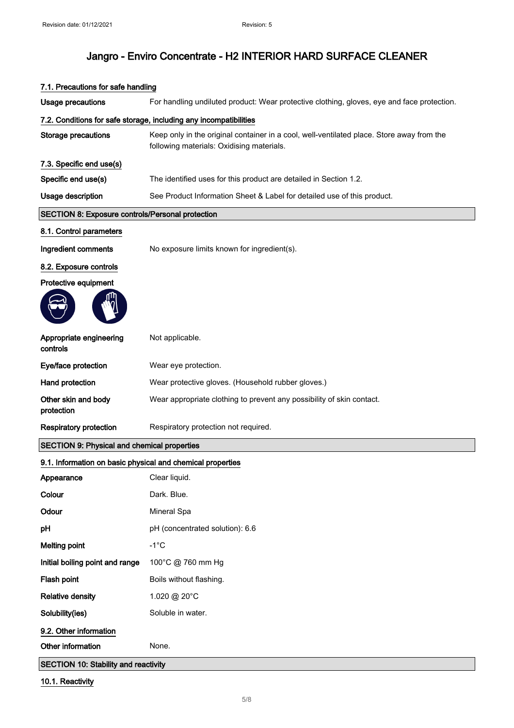| <b>Usage precautions</b>                                          | For handling undiluted product: Wear protective clothing, gloves, eye and face protection.                                             |  |
|-------------------------------------------------------------------|----------------------------------------------------------------------------------------------------------------------------------------|--|
| 7.2. Conditions for safe storage, including any incompatibilities |                                                                                                                                        |  |
| Storage precautions                                               | Keep only in the original container in a cool, well-ventilated place. Store away from the<br>following materials: Oxidising materials. |  |
| 7.3. Specific end use(s)                                          |                                                                                                                                        |  |
| Specific end use(s)                                               | The identified uses for this product are detailed in Section 1.2.                                                                      |  |
| Usage description                                                 | See Product Information Sheet & Label for detailed use of this product.                                                                |  |
| <b>SECTION 8: Exposure controls/Personal protection</b>           |                                                                                                                                        |  |
| 8.1. Control parameters                                           |                                                                                                                                        |  |
| Ingredient comments                                               | No exposure limits known for ingredient(s).                                                                                            |  |
| 8.2. Exposure controls                                            |                                                                                                                                        |  |
| Protective equipment                                              |                                                                                                                                        |  |
|                                                                   |                                                                                                                                        |  |
| Appropriate engineering<br>controls                               | Not applicable.                                                                                                                        |  |
| Eye/face protection                                               | Wear eye protection.                                                                                                                   |  |
| Hand protection                                                   | Wear protective gloves. (Household rubber gloves.)                                                                                     |  |
| Other skin and body<br>protection                                 | Wear appropriate clothing to prevent any possibility of skin contact.                                                                  |  |
| <b>Respiratory protection</b>                                     | Respiratory protection not required.                                                                                                   |  |
| <b>SECTION 9: Physical and chemical properties</b>                |                                                                                                                                        |  |
| 9.1. Information on basic physical and chemical properties        |                                                                                                                                        |  |
| Appearance                                                        | Clear liquid.                                                                                                                          |  |
| Colour                                                            | Dark. Blue.                                                                                                                            |  |
| Odour                                                             | Mineral Spa                                                                                                                            |  |
| pH                                                                | pH (concentrated solution): 6.6                                                                                                        |  |
| <b>Melting point</b>                                              | $-1^{\circ}C$                                                                                                                          |  |
| Initial boiling point and range                                   | 100°C @ 760 mm Hg                                                                                                                      |  |
| Flash point                                                       | Boils without flashing.                                                                                                                |  |
| <b>Relative density</b>                                           | 1.020 @ 20°C                                                                                                                           |  |
| Solubility(ies)                                                   | Soluble in water.                                                                                                                      |  |
| 9.2. Other information                                            |                                                                                                                                        |  |
| Other information                                                 | None.                                                                                                                                  |  |
| <b>SECTION 10: Stability and reactivity</b>                       |                                                                                                                                        |  |

#### 7.1. Precautions for safe handling

10.1. Reactivity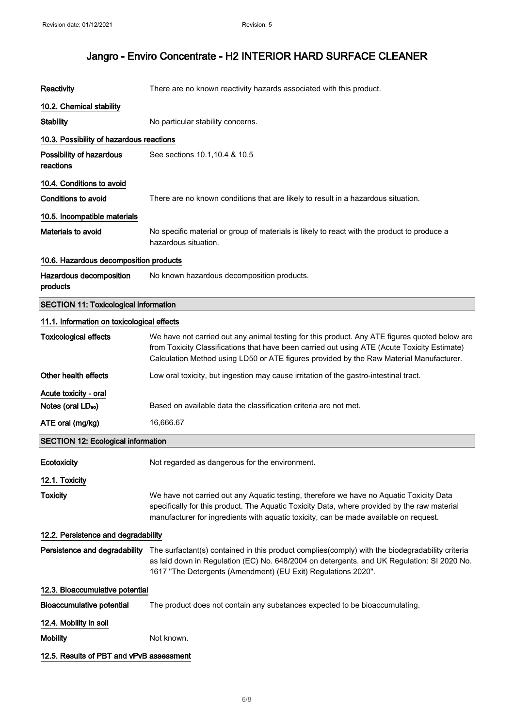| Reactivity                                   | There are no known reactivity hazards associated with this product.                                                                                                                                                                                                                      |  |
|----------------------------------------------|------------------------------------------------------------------------------------------------------------------------------------------------------------------------------------------------------------------------------------------------------------------------------------------|--|
| 10.2. Chemical stability                     |                                                                                                                                                                                                                                                                                          |  |
| <b>Stability</b>                             | No particular stability concerns.                                                                                                                                                                                                                                                        |  |
| 10.3. Possibility of hazardous reactions     |                                                                                                                                                                                                                                                                                          |  |
| Possibility of hazardous<br>reactions        | See sections 10.1, 10.4 & 10.5                                                                                                                                                                                                                                                           |  |
| 10.4. Conditions to avoid                    |                                                                                                                                                                                                                                                                                          |  |
| <b>Conditions to avoid</b>                   | There are no known conditions that are likely to result in a hazardous situation.                                                                                                                                                                                                        |  |
| 10.5. Incompatible materials                 |                                                                                                                                                                                                                                                                                          |  |
| Materials to avoid                           | No specific material or group of materials is likely to react with the product to produce a<br>hazardous situation.                                                                                                                                                                      |  |
| 10.6. Hazardous decomposition products       |                                                                                                                                                                                                                                                                                          |  |
| Hazardous decomposition<br>products          | No known hazardous decomposition products.                                                                                                                                                                                                                                               |  |
| <b>SECTION 11: Toxicological information</b> |                                                                                                                                                                                                                                                                                          |  |
| 11.1. Information on toxicological effects   |                                                                                                                                                                                                                                                                                          |  |
| <b>Toxicological effects</b>                 | We have not carried out any animal testing for this product. Any ATE figures quoted below are<br>from Toxicity Classifications that have been carried out using ATE (Acute Toxicity Estimate)<br>Calculation Method using LD50 or ATE figures provided by the Raw Material Manufacturer. |  |
| Other health effects                         | Low oral toxicity, but ingestion may cause irritation of the gastro-intestinal tract.                                                                                                                                                                                                    |  |
| Acute toxicity - oral                        |                                                                                                                                                                                                                                                                                          |  |
| Notes (oral LD <sub>50</sub> )               | Based on available data the classification criteria are not met.                                                                                                                                                                                                                         |  |
| ATE oral (mg/kg)                             | 16,666.67                                                                                                                                                                                                                                                                                |  |
| <b>SECTION 12: Ecological information</b>    |                                                                                                                                                                                                                                                                                          |  |
| Ecotoxicity                                  | Not regarded as dangerous for the environment.                                                                                                                                                                                                                                           |  |
| 12.1. Toxicity                               |                                                                                                                                                                                                                                                                                          |  |
| <b>Toxicity</b>                              | We have not carried out any Aquatic testing, therefore we have no Aquatic Toxicity Data<br>specifically for this product. The Aquatic Toxicity Data, where provided by the raw material<br>manufacturer for ingredients with aquatic toxicity, can be made available on request.         |  |
| 12.2. Persistence and degradability          |                                                                                                                                                                                                                                                                                          |  |
| Persistence and degradability                | The surfactant(s) contained in this product complies(comply) with the biodegradability criteria<br>as laid down in Regulation (EC) No. 648/2004 on detergents. and UK Regulation: SI 2020 No.<br>1617 "The Detergents (Amendment) (EU Exit) Regulations 2020".                           |  |
| 12.3. Bioaccumulative potential              |                                                                                                                                                                                                                                                                                          |  |
| <b>Bioaccumulative potential</b>             | The product does not contain any substances expected to be bioaccumulating.                                                                                                                                                                                                              |  |
| 12.4. Mobility in soil                       |                                                                                                                                                                                                                                                                                          |  |
| <b>Mobility</b>                              | Not known.                                                                                                                                                                                                                                                                               |  |
| 12.5. Results of PBT and vPvB assessment     |                                                                                                                                                                                                                                                                                          |  |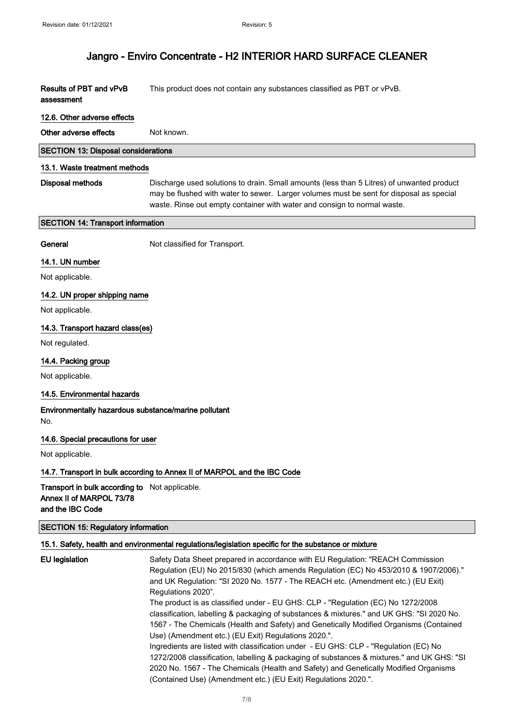| Results of PBT and vPvB | This product does not contain any substances classified as PBT or vPvB. |
|-------------------------|-------------------------------------------------------------------------|
| assessment              |                                                                         |

#### 12.6. Other adverse effects

Other adverse effects Not known.

#### SECTION 13: Disposal considerations

#### 13.1. Waste treatment methods

Disposal methods Discharge used solutions to drain. Small amounts (less than 5 Litres) of unwanted product may be flushed with water to sewer. Larger volumes must be sent for disposal as special waste. Rinse out empty container with water and consign to normal waste.

#### SECTION 14: Transport information

General Not classified for Transport.

#### 14.1. UN number

Not applicable.

#### 14.2. UN proper shipping name

Not applicable.

#### 14.3. Transport hazard class(es)

Not regulated.

#### 14.4. Packing group

Not applicable.

#### 14.5. Environmental hazards

#### Environmentally hazardous substance/marine pollutant No.

#### 14.6. Special precautions for user

Not applicable.

#### 14.7. Transport in bulk according to Annex II of MARPOL and the IBC Code

Transport in bulk according to Not applicable. Annex II of MARPOL 73/78 and the IBC Code

#### SECTION 15: Regulatory information

#### 15.1. Safety, health and environmental regulations/legislation specific for the substance or mixture

```
EU legislation Safety Data Sheet prepared in accordance with EU Regulation: "REACH Commission
                 Regulation (EU) No 2015/830 (which amends Regulation (EC) No 453/2010 & 1907/2006)."
                 and UK Regulation: "SI 2020 No. 1577 - The REACH etc. (Amendment etc.) (EU Exit)
                 Regulations 2020".
                 The product is as classified under - EU GHS: CLP - "Regulation (EC) No 1272/2008
                 classification, labelling & packaging of substances & mixtures." and UK GHS: "SI 2020 No.
                 1567 - The Chemicals (Health and Safety) and Genetically Modified Organisms (Contained
                 Use) (Amendment etc.) (EU Exit) Regulations 2020.".
                 Ingredients are listed with classification under - EU GHS: CLP - "Regulation (EC) No
                 1272/2008 classification, labelling & packaging of substances & mixtures." and UK GHS: "SI
                 2020 No. 1567 - The Chemicals (Health and Safety) and Genetically Modified Organisms
                 (Contained Use) (Amendment etc.) (EU Exit) Regulations 2020.".
```